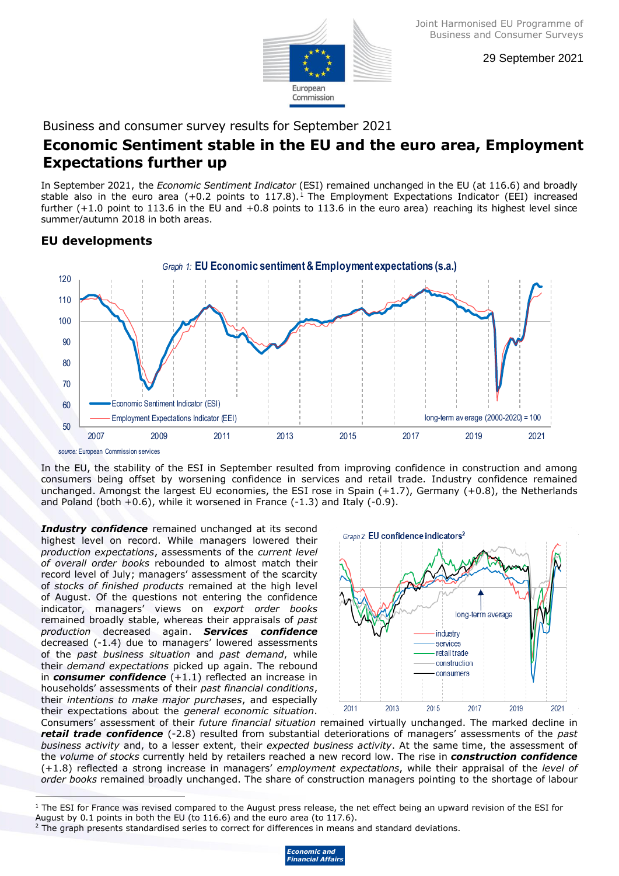

29 September 2021

Business and consumer survey results for September 2021

## **Economic Sentiment stable in the EU and the euro area, Employment Expectations further up**

In September 2021, the *Economic Sentiment Indicator* (ESI) remained unchanged in the EU (at 116.6) and broadly stable also in the euro area  $(+0.2 \text{ points to } 117.8)$ .<sup>1</sup> The Employment Expectations Indicator (EEI) increased further (+1.0 point to 113.6 in the EU and +0.8 points to 113.6 in the euro area) reaching its highest level since summer/autumn 2018 in both areas.

## **EU developments**



In the EU, the stability of the ESI in September resulted from improving confidence in construction and among consumers being offset by worsening confidence in services and retail trade. Industry confidence remained unchanged. Amongst the largest EU economies, the ESI rose in Spain  $(+1.7)$ , Germany  $(+0.8)$ , the Netherlands and Poland (both  $+0.6$ ), while it worsened in France  $(-1.3)$  and Italy  $(-0.9)$ .

*Industry confidence* remained unchanged at its second highest level on record. While managers lowered their *production expectations*, assessments of the *current level of overall order books* rebounded to almost match their record level of July; managers' assessment of the scarcity of *stocks of finished products* remained at the high level of August. Of the questions not entering the confidence indicator, managers' views on *export order books* remained broadly stable, whereas their appraisals of *past production* decreased again. *Services confidence*  decreased (-1.4) due to managers' lowered assessments of the *past business situation* and *past demand*, while their *demand expectations* picked up again. The rebound in *consumer confidence* (+1.1) reflected an increase in households' assessments of their *past financial conditions*, their *intentions to make major purchases*, and especially their expectations about the *general economic situation*.



Consumers' assessment of their *future financial situation* remained virtually unchanged. The marked decline in *retail trade confidence* (-2.8) resulted from substantial deteriorations of managers' assessments of the *past business activity* and, to a lesser extent, their *expected business activity*. At the same time, the assessment of the *volume of stocks* currently held by retailers reached a new record low. The rise in *construction confidence* (+1.8) reflected a strong increase in managers' *employment expectations*, while their appraisal of the *level of order books* remained broadly unchanged. The share of construction managers pointing to the shortage of labour

<sup>&</sup>lt;sup>2</sup> The graph presents standardised series to correct for differences in means and standard deviations.



j  $1$  The ESI for France was revised compared to the August press release, the net effect being an upward revision of the ESI for August by 0.1 points in both the EU (to 116.6) and the euro area (to 117.6).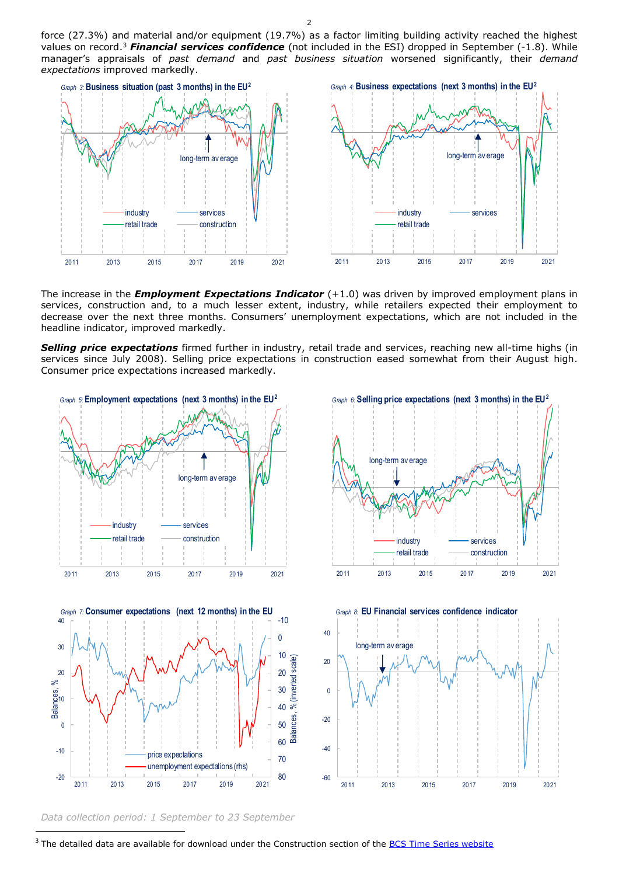force (27.3%) and material and/or equipment (19.7%) as a factor limiting building activity reached the highest values on record. <sup>3</sup> *Financial services confidence* (not included in the ESI) dropped in September (-1.8). While manager's appraisals of *past demand* and *past business situation* worsened significantly, their *demand expectations* improved markedly.



The increase in the *Employment Expectations Indicator* (+1.0) was driven by improved employment plans in services, construction and, to a much lesser extent, industry, while retailers expected their employment to decrease over the next three months. Consumers' unemployment expectations, which are not included in the headline indicator, improved markedly.

*Selling price expectations* firmed further in industry, retail trade and services, reaching new all-time highs (in services since July 2008). Selling price expectations in construction eased somewhat from their August high. Consumer price expectations increased markedly.



*Data collection period: 1 September to 23 September*

 $\overline{a}$ 

<sup>&</sup>lt;sup>3</sup> The detailed data are available for download under the Construction section of the **BCS Time Series website**